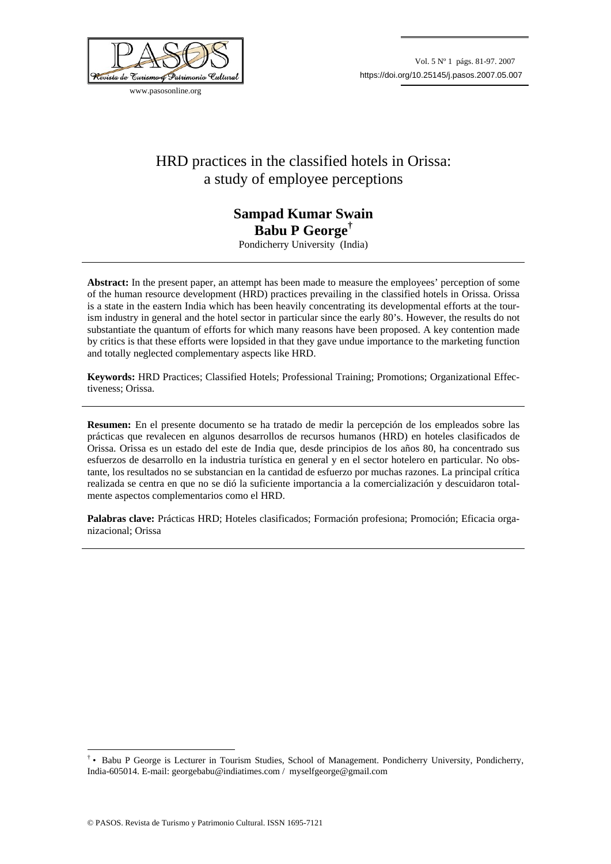

www.pasosonline.org

## HRD practices in the classified hotels in Orissa: a study of employee perceptions

## **Sampad Kumar Swain Babu P George†**

Pondicherry University (India)

**Abstract:** In the present paper, an attempt has been made to measure the employees' perception of some of the human resource development (HRD) practices prevailing in the classified hotels in Orissa. Orissa is a state in the eastern India which has been heavily concentrating its developmental efforts at the tourism industry in general and the hotel sector in particular since the early 80's. However, the results do not substantiate the quantum of efforts for which many reasons have been proposed. A key contention made by critics is that these efforts were lopsided in that they gave undue importance to the marketing function and totally neglected complementary aspects like HRD.

**Keywords:** HRD Practices; Classified Hotels; Professional Training; Promotions; Organizational Effectiveness; Orissa.

**Resumen:** En el presente documento se ha tratado de medir la percepción de los empleados sobre las prácticas que revalecen en algunos desarrollos de recursos humanos (HRD) en hoteles clasificados de Orissa. Orissa es un estado del este de India que, desde principios de los años 80, ha concentrado sus esfuerzos de desarrollo en la industria turística en general y en el sector hotelero en particular. No obstante, los resultados no se substancian en la cantidad de esfuerzo por muchas razones. La principal crítica realizada se centra en que no se dió la suficiente importancia a la comercialización y descuidaron totalmente aspectos complementarios como el HRD.

**Palabras clave:** Prácticas HRD; Hoteles clasificados; Formación profesiona; Promoción; Eficacia organizacional; Orissa

1

<sup>†</sup> • Babu P George is Lecturer in Tourism Studies, School of Management. Pondicherry University, Pondicherry, India-605014. E-mail: georgebabu@indiatimes.com / myselfgeorge@gmail.com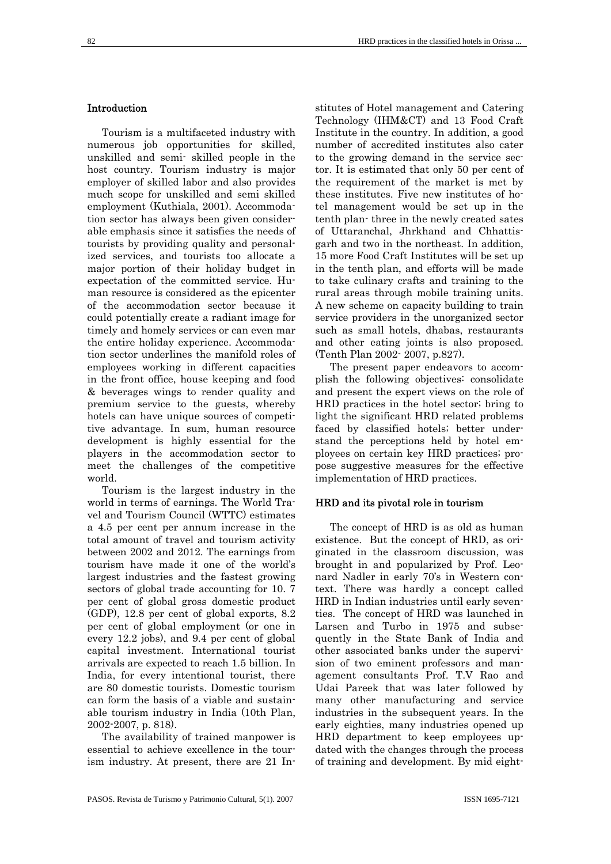## Introduction

Tourism is a multifaceted industry with numerous job opportunities for skilled, unskilled and semi- skilled people in the host country. Tourism industry is major employer of skilled labor and also provides much scope for unskilled and semi skilled employment (Kuthiala, 2001). Accommodation sector has always been given considerable emphasis since it satisfies the needs of tourists by providing quality and personalized services, and tourists too allocate a major portion of their holiday budget in expectation of the committed service. Human resource is considered as the epicenter of the accommodation sector because it could potentially create a radiant image for timely and homely services or can even mar the entire holiday experience. Accommodation sector underlines the manifold roles of employees working in different capacities in the front office, house keeping and food & beverages wings to render quality and premium service to the guests, whereby hotels can have unique sources of competitive advantage. In sum, human resource development is highly essential for the players in the accommodation sector to meet the challenges of the competitive world.

Tourism is the largest industry in the world in terms of earnings. The World Travel and Tourism Council (WTTC) estimates a 4.5 per cent per annum increase in the total amount of travel and tourism activity between 2002 and 2012. The earnings from tourism have made it one of the world's largest industries and the fastest growing sectors of global trade accounting for 10. 7 per cent of global gross domestic product (GDP), 12.8 per cent of global exports, 8.2 per cent of global employment (or one in every 12.2 jobs), and 9.4 per cent of global capital investment. International tourist arrivals are expected to reach 1.5 billion. In India, for every intentional tourist, there are 80 domestic tourists. Domestic tourism can form the basis of a viable and sustainable tourism industry in India (10th Plan, 2002-2007, p. 818).

The availability of trained manpower is essential to achieve excellence in the tourism industry. At present, there are 21 Institutes of Hotel management and Catering Technology (IHM&CT) and 13 Food Craft Institute in the country. In addition, a good number of accredited institutes also cater to the growing demand in the service sector. It is estimated that only 50 per cent of the requirement of the market is met by these institutes. Five new institutes of hotel management would be set up in the tenth plan- three in the newly created sates of Uttaranchal, Jhrkhand and Chhattisgarh and two in the northeast. In addition, 15 more Food Craft Institutes will be set up in the tenth plan, and efforts will be made to take culinary crafts and training to the rural areas through mobile training units. A new scheme on capacity building to train service providers in the unorganized sector such as small hotels, dhabas, restaurants and other eating joints is also proposed. (Tenth Plan 2002- 2007, p.827).

The present paper endeavors to accomplish the following objectives: consolidate and present the expert views on the role of HRD practices in the hotel sector; bring to light the significant HRD related problems faced by classified hotels; better understand the perceptions held by hotel employees on certain key HRD practices; propose suggestive measures for the effective implementation of HRD practices.

## HRD and its pivotal role in tourism

The concept of HRD is as old as human existence. But the concept of HRD, as originated in the classroom discussion, was brought in and popularized by Prof. Leonard Nadler in early 70's in Western context. There was hardly a concept called HRD in Indian industries until early seventies. The concept of HRD was launched in Larsen and Turbo in 1975 and subsequently in the State Bank of India and other associated banks under the supervision of two eminent professors and management consultants Prof. T.V Rao and Udai Pareek that was later followed by many other manufacturing and service industries in the subsequent years. In the early eighties, many industries opened up HRD department to keep employees updated with the changes through the process of training and development. By mid eight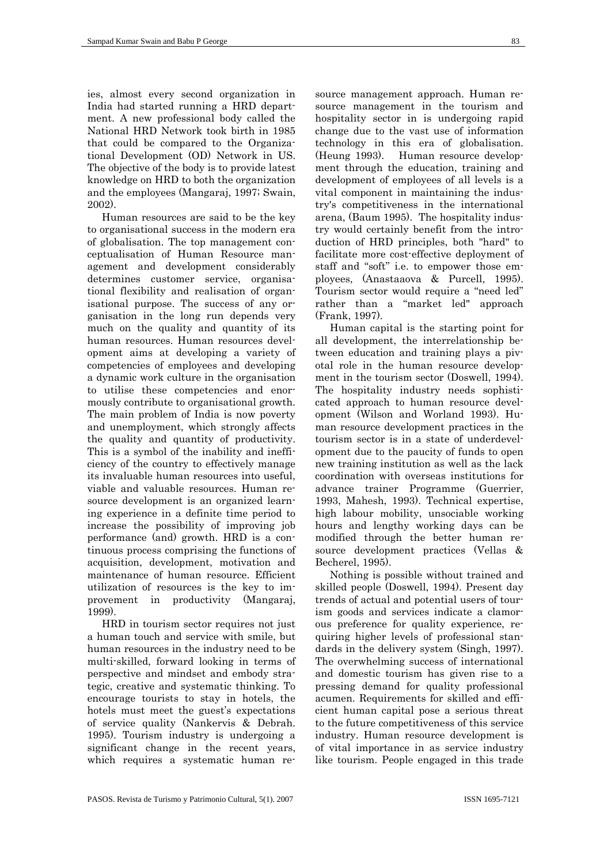ies, almost every second organization in India had started running a HRD department. A new professional body called the National HRD Network took birth in 1985 that could be compared to the Organizational Development (OD) Network in US. The objective of the body is to provide latest knowledge on HRD to both the organization and the employees (Mangaraj, 1997; Swain, 2002).

Human resources are said to be the key to organisational success in the modern era of globalisation. The top management conceptualisation of Human Resource management and development considerably determines customer service, organisational flexibility and realisation of organisational purpose. The success of any organisation in the long run depends very much on the quality and quantity of its human resources. Human resources development aims at developing a variety of competencies of employees and developing a dynamic work culture in the organisation to utilise these competencies and enormously contribute to organisational growth. The main problem of India is now poverty and unemployment, which strongly affects the quality and quantity of productivity. This is a symbol of the inability and inefficiency of the country to effectively manage its invaluable human resources into useful, viable and valuable resources. Human resource development is an organized learning experience in a definite time period to increase the possibility of improving job performance (and) growth. HRD is a continuous process comprising the functions of acquisition, development, motivation and maintenance of human resource. Efficient utilization of resources is the key to improvement in productivity (Mangaraj, 1999).

HRD in tourism sector requires not just a human touch and service with smile, but human resources in the industry need to be multi-skilled, forward looking in terms of perspective and mindset and embody strategic, creative and systematic thinking. To encourage tourists to stay in hotels, the hotels must meet the guest's expectations of service quality (Nankervis & Debrah. 1995). Tourism industry is undergoing a significant change in the recent years, which requires a systematic human resource management approach. Human resource management in the tourism and hospitality sector in is undergoing rapid change due to the vast use of information technology in this era of globalisation. (Heung 1993). Human resource development through the education, training and development of employees of all levels is a vital component in maintaining the industry's competitiveness in the international arena, (Baum 1995). The hospitality industry would certainly benefit from the introduction of HRD principles, both "hard" to facilitate more cost-effective deployment of staff and "soft" i.e. to empower those employees, (Anastaaova & Purcell, 1995). Tourism sector would require a "need led" rather than a "market led" approach (Frank, 1997).

Human capital is the starting point for all development, the interrelationship between education and training plays a pivotal role in the human resource development in the tourism sector (Doswell, 1994). The hospitality industry needs sophisticated approach to human resource development (Wilson and Worland 1993). Human resource development practices in the tourism sector is in a state of underdevelopment due to the paucity of funds to open new training institution as well as the lack coordination with overseas institutions for advance trainer Programme (Guerrier, 1993, Mahesh, 1993). Technical expertise, high labour mobility, unsociable working hours and lengthy working days can be modified through the better human resource development practices (Vellas & Becherel, 1995).

Nothing is possible without trained and skilled people (Doswell, 1994). Present day trends of actual and potential users of tourism goods and services indicate a clamorous preference for quality experience, requiring higher levels of professional standards in the delivery system (Singh, 1997). The overwhelming success of international and domestic tourism has given rise to a pressing demand for quality professional acumen. Requirements for skilled and efficient human capital pose a serious threat to the future competitiveness of this service industry. Human resource development is of vital importance in as service industry like tourism. People engaged in this trade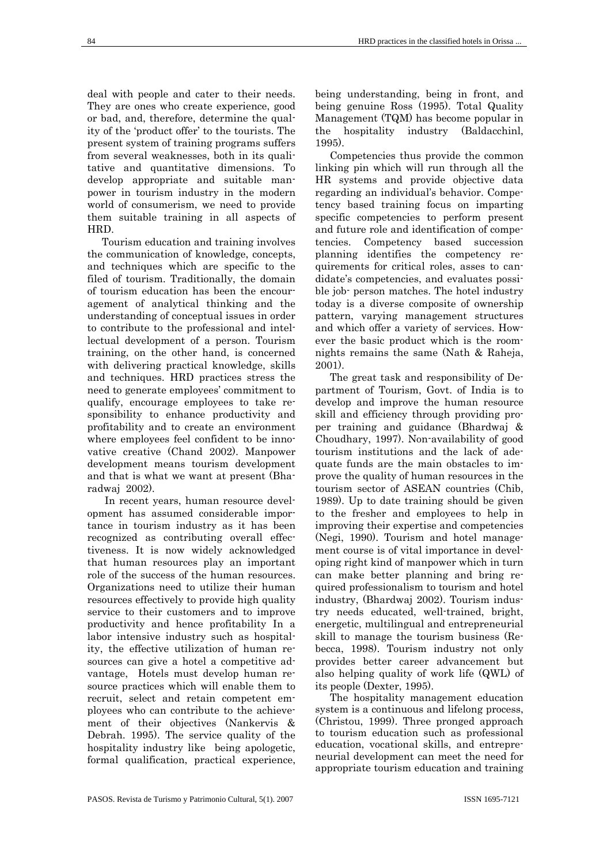deal with people and cater to their needs. They are ones who create experience, good or bad, and, therefore, determine the quality of the 'product offer' to the tourists. The present system of training programs suffers from several weaknesses, both in its qualitative and quantitative dimensions. To develop appropriate and suitable manpower in tourism industry in the modern world of consumerism, we need to provide them suitable training in all aspects of HRD.

Tourism education and training involves the communication of knowledge, concepts, and techniques which are specific to the filed of tourism. Traditionally, the domain of tourism education has been the encouragement of analytical thinking and the understanding of conceptual issues in order to contribute to the professional and intellectual development of a person. Tourism training, on the other hand, is concerned with delivering practical knowledge, skills and techniques. HRD practices stress the need to generate employees' commitment to qualify, encourage employees to take responsibility to enhance productivity and profitability and to create an environment where employees feel confident to be innovative creative (Chand 2002). Manpower development means tourism development and that is what we want at present (Bharadwaj 2002).

 In recent years, human resource development has assumed considerable importance in tourism industry as it has been recognized as contributing overall effectiveness. It is now widely acknowledged that human resources play an important role of the success of the human resources. Organizations need to utilize their human resources effectively to provide high quality service to their customers and to improve productivity and hence profitability In a labor intensive industry such as hospitality, the effective utilization of human resources can give a hotel a competitive advantage, Hotels must develop human resource practices which will enable them to recruit, select and retain competent employees who can contribute to the achievement of their objectives (Nankervis & Debrah. 1995). The service quality of the hospitality industry like being apologetic. formal qualification, practical experience,

being understanding, being in front, and being genuine Ross (1995). Total Quality Management (TQM) has become popular in the hospitality industry (Baldacchinl, 1995).

Competencies thus provide the common linking pin which will run through all the HR systems and provide objective data regarding an individual's behavior. Competency based training focus on imparting specific competencies to perform present and future role and identification of competencies. Competency based succession planning identifies the competency requirements for critical roles, asses to candidate's competencies, and evaluates possible job- person matches. The hotel industry today is a diverse composite of ownership pattern, varying management structures and which offer a variety of services. However the basic product which is the roomnights remains the same (Nath & Raheja, 2001).

The great task and responsibility of Department of Tourism, Govt. of India is to develop and improve the human resource skill and efficiency through providing proper training and guidance (Bhardwaj & Choudhary, 1997). Non-availability of good tourism institutions and the lack of adequate funds are the main obstacles to improve the quality of human resources in the tourism sector of ASEAN countries (Chib, 1989). Up to date training should be given to the fresher and employees to help in improving their expertise and competencies (Negi, 1990). Tourism and hotel management course is of vital importance in developing right kind of manpower which in turn can make better planning and bring required professionalism to tourism and hotel industry, (Bhardwaj 2002). Tourism industry needs educated, well-trained, bright, energetic, multilingual and entrepreneurial skill to manage the tourism business (Rebecca, 1998). Tourism industry not only provides better career advancement but also helping quality of work life (QWL) of its people (Dexter, 1995).

The hospitality management education system is a continuous and lifelong process, (Christou, 1999). Three pronged approach to tourism education such as professional education, vocational skills, and entrepreneurial development can meet the need for appropriate tourism education and training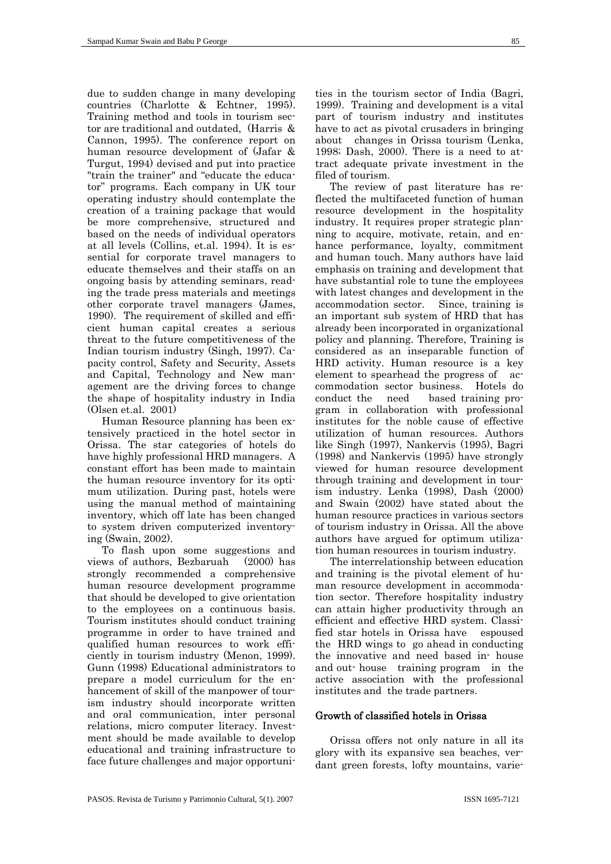due to sudden change in many developing countries (Charlotte & Echtner, 1995). Training method and tools in tourism sector are traditional and outdated, (Harris & Cannon, 1995). The conference report on human resource development of (Jafar & Turgut, 1994) devised and put into practice "train the trainer" and "educate the educator" programs. Each company in UK tour operating industry should contemplate the creation of a training package that would be more comprehensive, structured and based on the needs of individual operators at all levels (Collins, et.al. 1994). It is essential for corporate travel managers to educate themselves and their staffs on an ongoing basis by attending seminars, reading the trade press materials and meetings other corporate travel managers (James, 1990). The requirement of skilled and efficient human capital creates a serious threat to the future competitiveness of the Indian tourism industry (Singh, 1997). Capacity control, Safety and Security, Assets and Capital, Technology and New management are the driving forces to change the shape of hospitality industry in India (Olsen et.al. 2001)

Human Resource planning has been extensively practiced in the hotel sector in Orissa. The star categories of hotels do have highly professional HRD managers. A constant effort has been made to maintain the human resource inventory for its optimum utilization. During past, hotels were using the manual method of maintaining inventory, which off late has been changed to system driven computerized inventorying (Swain, 2002).

To flash upon some suggestions and views of authors, Bezbaruah (2000) has strongly recommended a comprehensive human resource development programme that should be developed to give orientation to the employees on a continuous basis. Tourism institutes should conduct training programme in order to have trained and qualified human resources to work efficiently in tourism industry (Menon, 1999). Gunn (1998) Educational administrators to prepare a model curriculum for the enhancement of skill of the manpower of tourism industry should incorporate written and oral communication, inter personal relations, micro computer literacy. Investment should be made available to develop educational and training infrastructure to face future challenges and major opportunities in the tourism sector of India (Bagri, 1999). Training and development is a vital part of tourism industry and institutes have to act as pivotal crusaders in bringing about changes in Orissa tourism (Lenka, 1998; Dash, 2000). There is a need to attract adequate private investment in the filed of tourism.

The review of past literature has reflected the multifaceted function of human resource development in the hospitality industry. It requires proper strategic planning to acquire, motivate, retain, and enhance performance, loyalty, commitment and human touch. Many authors have laid emphasis on training and development that have substantial role to tune the employees with latest changes and development in the accommodation sector. Since, training is an important sub system of HRD that has already been incorporated in organizational policy and planning. Therefore, Training is considered as an inseparable function of HRD activity. Human resource is a key element to spearhead the progress of accommodation sector business. Hotels do conduct the need based training program in collaboration with professional institutes for the noble cause of effective utilization of human resources. Authors like Singh (1997), Nankervis (1995), Bagri (1998) and Nankervis (1995) have strongly viewed for human resource development through training and development in tourism industry. Lenka (1998), Dash (2000) and Swain (2002) have stated about the human resource practices in various sectors of tourism industry in Orissa. All the above authors have argued for optimum utilization human resources in tourism industry.

The interrelationship between education and training is the pivotal element of human resource development in accommodation sector. Therefore hospitality industry can attain higher productivity through an efficient and effective HRD system. Classified star hotels in Orissa have espoused the HRD wings to go ahead in conducting the innovative and need based in- house and out- house training program in the active association with the professional institutes and the trade partners.

#### Growth of classified hotels in Orissa

Orissa offers not only nature in all its glory with its expansive sea beaches, verdant green forests, lofty mountains, varie-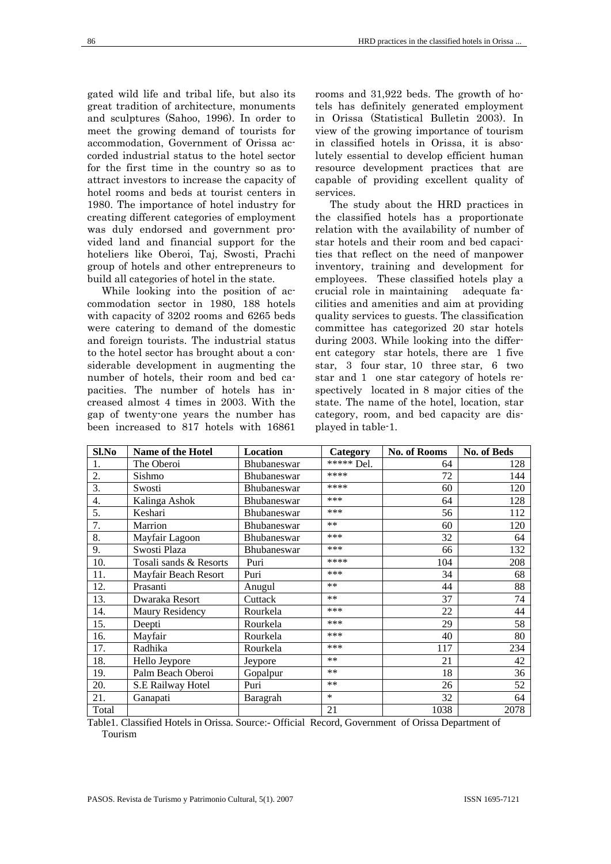gated wild life and tribal life, but also its great tradition of architecture, monuments and sculptures (Sahoo, 1996). In order to meet the growing demand of tourists for accommodation, Government of Orissa accorded industrial status to the hotel sector for the first time in the country so as to attract investors to increase the capacity of hotel rooms and beds at tourist centers in 1980. The importance of hotel industry for creating different categories of employment was duly endorsed and government provided land and financial support for the hoteliers like Oberoi, Taj, Swosti, Prachi group of hotels and other entrepreneurs to build all categories of hotel in the state.

While looking into the position of accommodation sector in 1980, 188 hotels with capacity of 3202 rooms and 6265 beds were catering to demand of the domestic and foreign tourists. The industrial status to the hotel sector has brought about a considerable development in augmenting the number of hotels, their room and bed capacities. The number of hotels has increased almost 4 times in 2003. With the gap of twenty-one years the number has been increased to 817 hotels with 16861

rooms and 31,922 beds. The growth of hotels has definitely generated employment in Orissa (Statistical Bulletin 2003). In view of the growing importance of tourism in classified hotels in Orissa, it is absolutely essential to develop efficient human resource development practices that are capable of providing excellent quality of services.

The study about the HRD practices in the classified hotels has a proportionate relation with the availability of number of star hotels and their room and bed capacities that reflect on the need of manpower inventory, training and development for employees. These classified hotels play a crucial role in maintaining adequate facilities and amenities and aim at providing quality services to guests. The classification committee has categorized 20 star hotels during 2003. While looking into the different category star hotels, there are 1 five star, 3 four star, 10 three star, 6 two star and 1 one star category of hotels respectively located in 8 major cities of the state. The name of the hotel, location, star category, room, and bed capacity are displayed in table-1.

| Sl.No            | <b>Name of the Hotel</b> | <b>Location</b>    | Category   | No. of Rooms | <b>No. of Beds</b> |
|------------------|--------------------------|--------------------|------------|--------------|--------------------|
|                  | The Oberoi               | Bhubaneswar        | ***** Del. | 64           | 128                |
| 2.               | Sishmo                   | <b>Bhubaneswar</b> | ****       | 72           | 144                |
| 3.               | Swosti                   | Bhubaneswar        | ****       | 60           | 120                |
| $\overline{4}$ . | Kalinga Ashok            | Bhubaneswar        | ***        | 64           | 128                |
| 5.               | Keshari                  | Bhubaneswar        | ***        | 56           | 112                |
| 7.               | Marrion                  | Bhubaneswar        | $***$      | 60           | 120                |
| 8.               | Mayfair Lagoon           | Bhubaneswar        | ***        | 32           | 64                 |
| 9.               | Swosti Plaza             | Bhubaneswar        | ***        | 66           | 132                |
| 10.              | Tosali sands & Resorts   | Puri               | ****       | 104          | 208                |
| 11.              | Mayfair Beach Resort     | Puri               | $***$      | 34           | 68                 |
| 12.              | Prasanti                 | Anugul             | $***$      | 44           | 88                 |
| 13.              | Dwaraka Resort           | Cuttack            | $**$       | 37           | 74                 |
| 14.              | Maury Residency          | Rourkela           | ***        | 22           | 44                 |
| 15.              | Deepti                   | Rourkela           | ***        | 29           | 58                 |
| 16.              | Mayfair                  | Rourkela           | ***        | 40           | 80                 |
| 17.              | Radhika                  | Rourkela           | ***        | 117          | 234                |
| 18.              | Hello Jeypore            | Jeypore            | $**$       | 21           | 42                 |
| 19.              | Palm Beach Oberoi        | Gopalpur           | $**$       | 18           | 36                 |
| 20.              | S.E Railway Hotel        | Puri               | $**$       | 26           | 52                 |
| 21.              | Ganapati                 | Baragrah           | $\ast$     | 32           | 64                 |
| Total            |                          |                    | 21         | 1038         | 2078               |

Table1. Classified Hotels in Orissa. Source:- Official Record, Government of Orissa Department of Tourism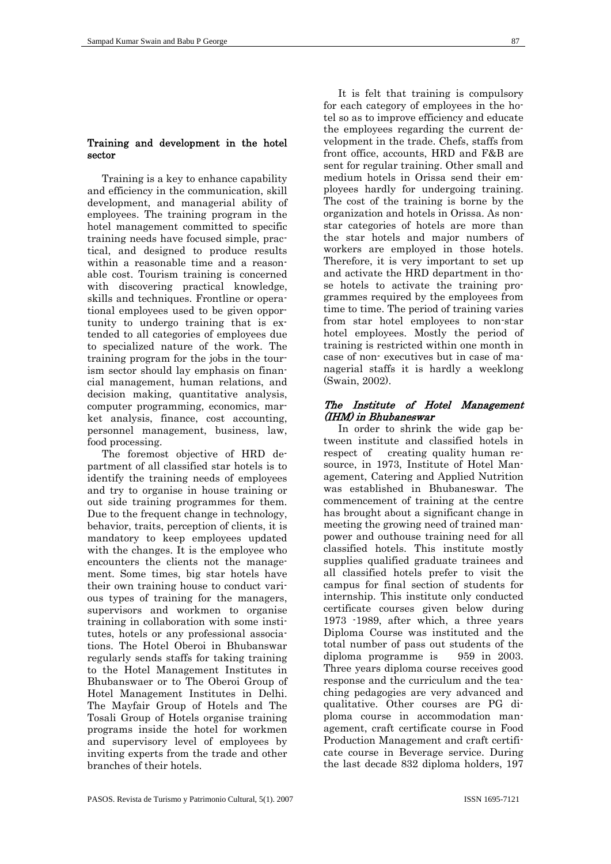#### Training and development in the hotel sector

Training is a key to enhance capability and efficiency in the communication, skill development, and managerial ability of employees. The training program in the hotel management committed to specific training needs have focused simple, practical, and designed to produce results within a reasonable time and a reasonable cost. Tourism training is concerned with discovering practical knowledge, skills and techniques. Frontline or operational employees used to be given opportunity to undergo training that is extended to all categories of employees due to specialized nature of the work. The training program for the jobs in the tourism sector should lay emphasis on financial management, human relations, and decision making, quantitative analysis, computer programming, economics, market analysis, finance, cost accounting, personnel management, business, law, food processing.

The foremost objective of HRD department of all classified star hotels is to identify the training needs of employees and try to organise in house training or out side training programmes for them. Due to the frequent change in technology, behavior, traits, perception of clients, it is mandatory to keep employees updated with the changes. It is the employee who encounters the clients not the management. Some times, big star hotels have their own training house to conduct various types of training for the managers, supervisors and workmen to organise training in collaboration with some institutes, hotels or any professional associations. The Hotel Oberoi in Bhubanswar regularly sends staffs for taking training to the Hotel Management Institutes in Bhubanswaer or to The Oberoi Group of Hotel Management Institutes in Delhi. The Mayfair Group of Hotels and The Tosali Group of Hotels organise training programs inside the hotel for workmen and supervisory level of employees by inviting experts from the trade and other branches of their hotels.

It is felt that training is compulsory for each category of employees in the hotel so as to improve efficiency and educate the employees regarding the current development in the trade. Chefs, staffs from front office, accounts, HRD and F&B are sent for regular training. Other small and medium hotels in Orissa send their employees hardly for undergoing training. The cost of the training is borne by the organization and hotels in Orissa. As nonstar categories of hotels are more than the star hotels and major numbers of workers are employed in those hotels. Therefore, it is very important to set up and activate the HRD department in those hotels to activate the training programmes required by the employees from time to time. The period of training varies from star hotel employees to non-star hotel employees. Mostly the period of training is restricted within one month in case of non- executives but in case of managerial staffs it is hardly a weeklong (Swain, 2002).

## The Institute of Hotel Management (IHM) in Bhubaneswar

In order to shrink the wide gap between institute and classified hotels in respect of creating quality human resource, in 1973, Institute of Hotel Management, Catering and Applied Nutrition was established in Bhubaneswar. The commencement of training at the centre has brought about a significant change in meeting the growing need of trained manpower and outhouse training need for all classified hotels. This institute mostly supplies qualified graduate trainees and all classified hotels prefer to visit the campus for final section of students for internship. This institute only conducted certificate courses given below during 1973 -1989, after which, a three years Diploma Course was instituted and the total number of pass out students of the diploma programme is 959 in 2003. Three years diploma course receives good response and the curriculum and the teaching pedagogies are very advanced and qualitative. Other courses are PG diploma course in accommodation management, craft certificate course in Food Production Management and craft certificate course in Beverage service. During the last decade 832 diploma holders, 197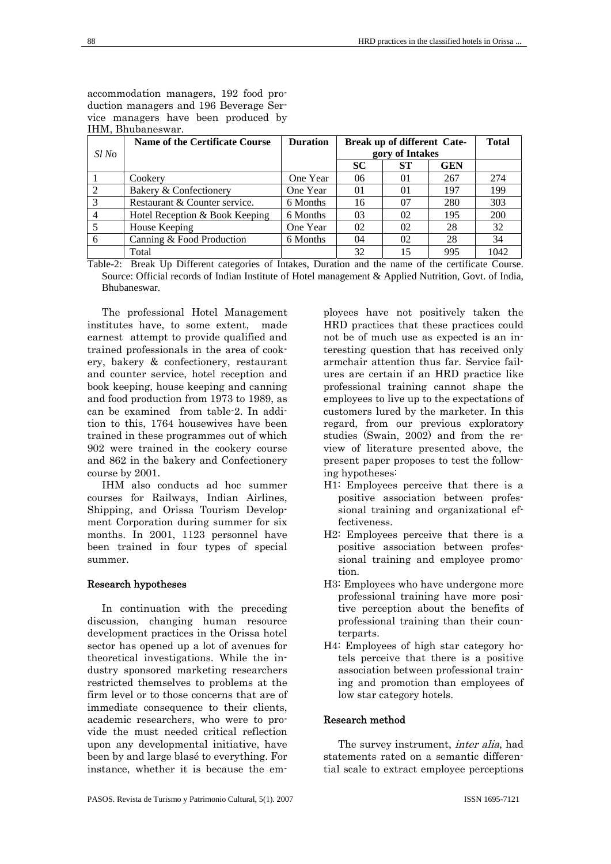accommodation managers, 192 food production managers and 196 Beverage Service managers have been produced by IHM, Bhubaneswar.

|              | <b>Name of the Certificate Course</b> | <b>Duration</b> |                |                 | Break up of different Cate- |      |
|--------------|---------------------------------------|-----------------|----------------|-----------------|-----------------------------|------|
| <i>Sl No</i> |                                       |                 |                | gory of Intakes |                             |      |
|              |                                       |                 | <b>SC</b>      | <b>ST</b>       | <b>GEN</b>                  |      |
|              | Cookery                               | One Year        | 06             | 01              | 267                         | 274  |
| 2            | Bakery & Confectionery                | One Year        | 0 <sub>1</sub> | 0 <sub>1</sub>  | 197                         | 199  |
| 3            | Restaurant & Counter service.         | 6 Months        | 16             | 07              | 280                         | 303  |
| 4            | Hotel Reception & Book Keeping        | 6 Months        | 03             | 02              | 195                         | 200  |
| 5            | House Keeping                         | One Year        | 02             | 02              | 28                          | 32   |
| 6            | Canning & Food Production             | 6 Months        | 04             | 02              | 28                          | 34   |
|              | Total                                 |                 | 32             | 15              | 995                         | 1042 |

Table-2: Break Up Different categories of Intakes, Duration and the name of the certificate Course. Source: Official records of Indian Institute of Hotel management & Applied Nutrition, Govt. of India, Bhubaneswar.

The professional Hotel Management institutes have, to some extent, made earnest attempt to provide qualified and trained professionals in the area of cookery, bakery & confectionery, restaurant and counter service, hotel reception and book keeping, house keeping and canning and food production from 1973 to 1989, as can be examined from table-2. In addition to this, 1764 housewives have been trained in these programmes out of which 902 were trained in the cookery course and 862 in the bakery and Confectionery course by 2001.

IHM also conducts ad hoc summer courses for Railways, Indian Airlines, Shipping, and Orissa Tourism Development Corporation during summer for six months. In 2001, 1123 personnel have been trained in four types of special summer.

## Research hypotheses

In continuation with the preceding discussion, changing human resource development practices in the Orissa hotel sector has opened up a lot of avenues for theoretical investigations. While the industry sponsored marketing researchers restricted themselves to problems at the firm level or to those concerns that are of immediate consequence to their clients, academic researchers, who were to provide the must needed critical reflection upon any developmental initiative, have been by and large blasé to everything. For instance, whether it is because the employees have not positively taken the HRD practices that these practices could not be of much use as expected is an interesting question that has received only armchair attention thus far. Service failures are certain if an HRD practice like professional training cannot shape the employees to live up to the expectations of customers lured by the marketer. In this regard, from our previous exploratory studies (Swain, 2002) and from the review of literature presented above, the present paper proposes to test the following hypotheses:

- H1: Employees perceive that there is a positive association between professional training and organizational effectiveness.
- H2: Employees perceive that there is a positive association between professional training and employee promotion.
- H3: Employees who have undergone more professional training have more positive perception about the benefits of professional training than their counterparts.
- H4: Employees of high star category hotels perceive that there is a positive association between professional training and promotion than employees of low star category hotels.

## Research method

The survey instrument, *inter alia*, had statements rated on a semantic differential scale to extract employee perceptions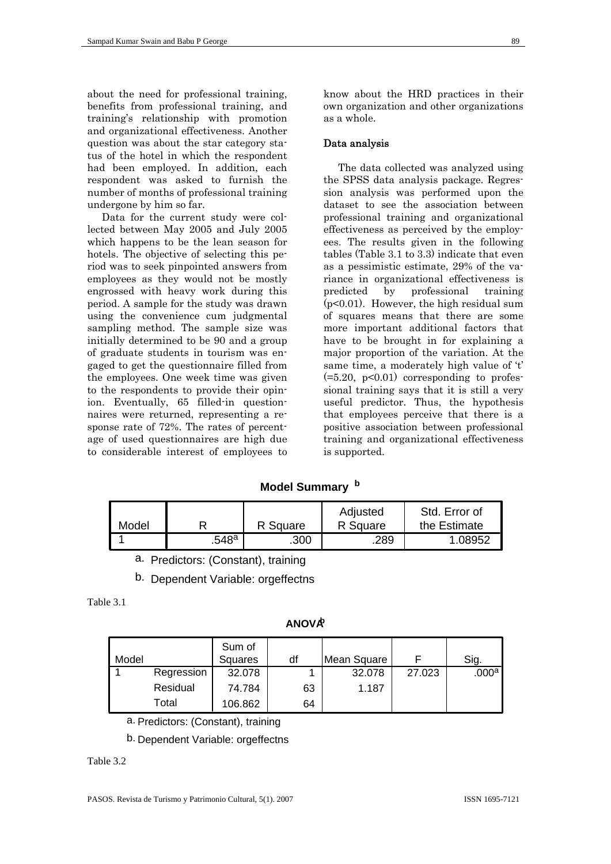about the need for professional training, benefits from professional training, and training's relationship with promotion and organizational effectiveness. Another question was about the star category status of the hotel in which the respondent had been employed. In addition, each respondent was asked to furnish the number of months of professional training undergone by him so far.

Data for the current study were collected between May 2005 and July 2005 which happens to be the lean season for hotels. The objective of selecting this period was to seek pinpointed answers from employees as they would not be mostly engrossed with heavy work during this period. A sample for the study was drawn using the convenience cum judgmental sampling method. The sample size was initially determined to be 90 and a group of graduate students in tourism was engaged to get the questionnaire filled from the employees. One week time was given to the respondents to provide their opinion. Eventually, 65 filled-in questionnaires were returned, representing a response rate of 72%. The rates of percentage of used questionnaires are high due to considerable interest of employees to

know about the HRD practices in their own organization and other organizations as a whole.

#### Data analysis

The data collected was analyzed using the SPSS data analysis package. Regression analysis was performed upon the dataset to see the association between professional training and organizational effectiveness as perceived by the employees. The results given in the following tables (Table 3.1 to 3.3) indicate that even as a pessimistic estimate, 29% of the variance in organizational effectiveness is predicted by professional training (p<0.01). However, the high residual sum of squares means that there are some more important additional factors that have to be brought in for explaining a major proportion of the variation. At the same time, a moderately high value of 't'  $(=5.20, p<0.01)$  corresponding to professional training says that it is still a very useful predictor. Thus, the hypothesis that employees perceive that there is a positive association between professional training and organizational effectiveness is supported.

## **Model Summary <sup>b</sup>**

|       |       |          | Adjusted | Std. Error of |
|-------|-------|----------|----------|---------------|
| Model |       | R Square | R Square | the Estimate  |
|       | .548ª | .300     | .289     | .08952        |

a. Predictors: (Constant), training

b. Dependent Variable: orgeffectns

| `able |
|-------|
|-------|

|  | ۱I | ۰<br>11<br>N | ۰ | V<br>л | -<br>١ |
|--|----|--------------|---|--------|--------|
|--|----|--------------|---|--------|--------|

| Model |            | Sum of<br>Squares | df | Mean Square |        | Sig.              |
|-------|------------|-------------------|----|-------------|--------|-------------------|
|       | Regression | 32.078            |    | 32.078      | 27.023 | .000 <sup>a</sup> |
|       | Residual   | 74.784            | 63 | 1.187       |        |                   |
|       | Total      | 106.862           | 64 |             |        |                   |

a. Predictors: (Constant), training

b. Dependent Variable: orgeffectns

## Table 3.2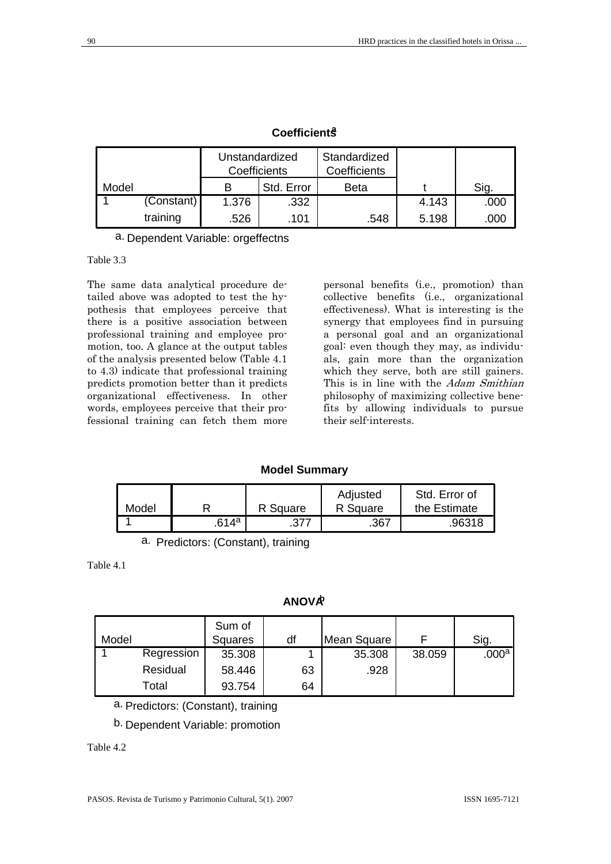|       |            | Unstandardized<br>Coefficients |            | Standardized<br>Coefficients |       |      |
|-------|------------|--------------------------------|------------|------------------------------|-------|------|
| Model |            | в                              | Std. Error | <b>Beta</b>                  |       | Sig. |
|       | (Constant) | 1.376                          | .332       |                              | 4.143 | .000 |
|       | training   | .526                           | .101       | .548                         | 5.198 | .000 |

## **Coefficientsa**

a. Dependent Variable: orgeffectns

## Table 3.3

The same data analytical procedure detailed above was adopted to test the hypothesis that employees perceive that there is a positive association between professional training and employee promotion, too. A glance at the output tables of the analysis presented below (Table 4.1 to 4.3) indicate that professional training predicts promotion better than it predicts organizational effectiveness. In other words, employees perceive that their professional training can fetch them more

personal benefits (i.e., promotion) than collective benefits (i.e., organizational effectiveness). What is interesting is the synergy that employees find in pursuing a personal goal and an organizational goal: even though they may, as individuals, gain more than the organization which they serve, both are still gainers. This is in line with the Adam Smithian philosophy of maximizing collective benefits by allowing individuals to pursue their self-interests.

## **Model Summary**

|       |                   |          | Adjusted | Std. Error of |
|-------|-------------------|----------|----------|---------------|
| Model |                   | R Square | R Square | the Estimate  |
|       | .614 $^{\rm a}$ . | .377     | .367     | .96318        |

a. Predictors: (Constant), training

Table 4.1

## **ANOVAb**

| Model |            | Sum of<br>Squares | df | Mean Square |        | Sig.              |
|-------|------------|-------------------|----|-------------|--------|-------------------|
|       | Regression | 35.308            |    | 35.308      | 38.059 | .000 <sup>a</sup> |
|       | Residual   | 58.446            | 63 | .928        |        |                   |
|       | Total      | 93.754            | 64 |             |        |                   |

a. Predictors: (Constant), training

## b. Dependent Variable: promotion

Table 4.2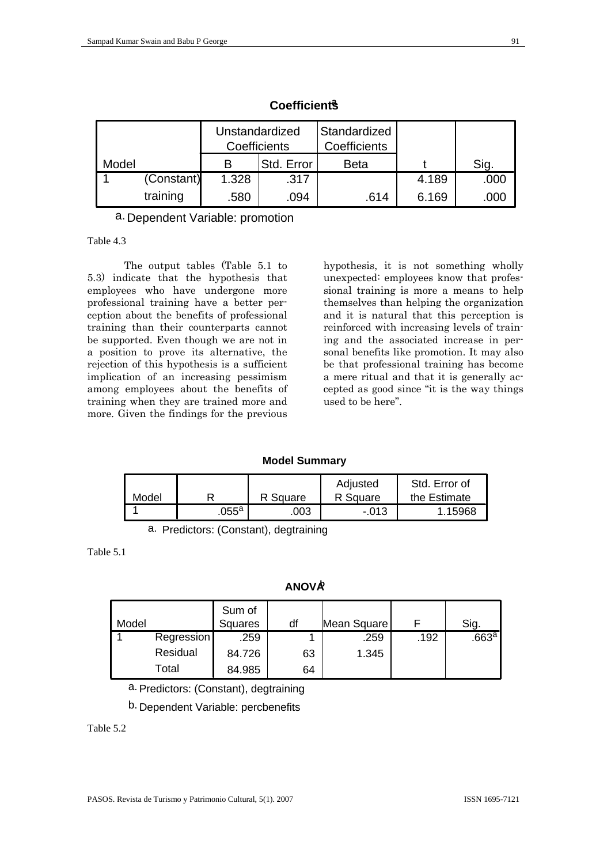|       | Unstandardized<br>Coefficients |       |            | Standardized<br>Coefficients |       |      |
|-------|--------------------------------|-------|------------|------------------------------|-------|------|
| Model |                                | в     | Std. Error | <b>Beta</b>                  |       | Sig. |
|       | (Constant)                     | 1.328 | .317       |                              | 4.189 | .000 |
|       | training                       | .580  | .094       | .614                         | 6.169 | .000 |

**Coefficientsa**

a. Dependent Variable: promotion

Table 4.3

The output tables (Table 5.1 to 5.3) indicate that the hypothesis that employees who have undergone more professional training have a better perception about the benefits of professional training than their counterparts cannot be supported. Even though we are not in a position to prove its alternative, the rejection of this hypothesis is a sufficient implication of an increasing pessimism among employees about the benefits of training when they are trained more and more. Given the findings for the previous

hypothesis, it is not something wholly unexpected: employees know that professional training is more a means to help themselves than helping the organization and it is natural that this perception is reinforced with increasing levels of training and the associated increase in personal benefits like promotion. It may also be that professional training has become a mere ritual and that it is generally accepted as good since "it is the way things used to be here".

## **Model Summary**

| Model |                 | R Square | Adjusted<br>R Square | Std. Error of<br>the Estimate |
|-------|-----------------|----------|----------------------|-------------------------------|
|       | .055 $^{\rm a}$ | 003      | $-013$               | 1.15968                       |

a. Predictors: (Constant), degtraining

Table 5.1

**ANOVAb**

| Model |                   | Sum of<br>Squares | df | Mean Square |      | Sig.            |
|-------|-------------------|-------------------|----|-------------|------|-----------------|
|       | <b>Regression</b> | .259              |    | .259        | .192 | .663 $^{\rm a}$ |
|       | Residual          | 84.726            | 63 | 1.345       |      |                 |
|       | Total             | 84.985            | 64 |             |      |                 |

a. Predictors: (Constant), degtraining

b. Dependent Variable: percbenefits

## Table 5.2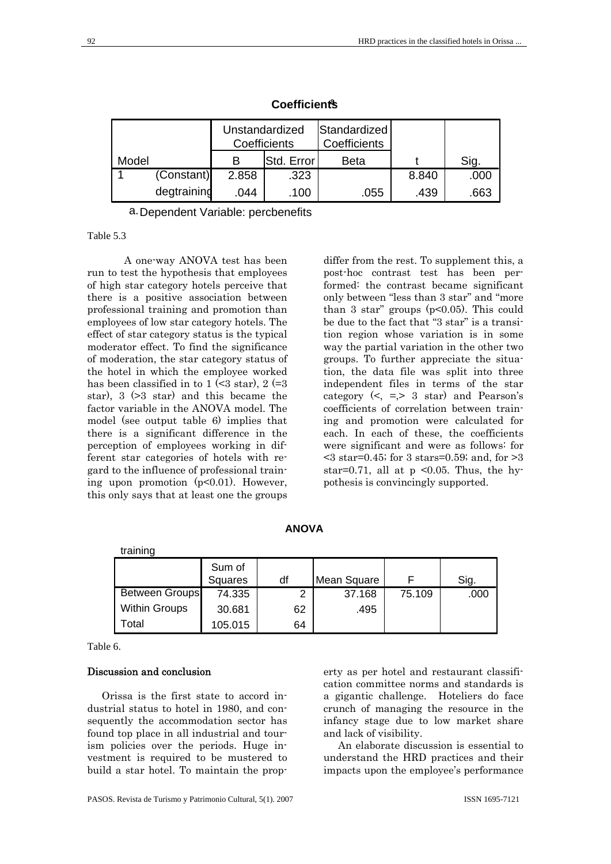|       |             | Unstandardized<br>Coefficients |            | Standardized<br>Coefficients |       |      |
|-------|-------------|--------------------------------|------------|------------------------------|-------|------|
| Model |             |                                | Std. Error | <b>Beta</b>                  |       | Sig. |
|       | (Constant)  | 2.858                          | .323       |                              | 8.840 | .000 |
|       | degtraining | .044                           | .100       | .055                         | .439  | .663 |

**Coefficientsa**

a. Dependent Variable: percbenefits

# Table 5.3

A one-way ANOVA test has been run to test the hypothesis that employees of high star category hotels perceive that there is a positive association between professional training and promotion than employees of low star category hotels. The effect of star category status is the typical moderator effect. To find the significance of moderation, the star category status of the hotel in which the employee worked has been classified in to  $1 \leq 3$  star),  $2 (=3)$ star), 3 (>3 star) and this became the factor variable in the ANOVA model. The model (see output table 6) implies that there is a significant difference in the perception of employees working in different star categories of hotels with regard to the influence of professional training upon promotion (p<0.01). However, this only says that at least one the groups

differ from the rest. To supplement this, a post-hoc contrast test has been performed: the contrast became significant only between "less than 3 star" and "more than 3 star" groups  $(p<0.05)$ . This could be due to the fact that "3 star" is a transition region whose variation is in some way the partial variation in the other two groups. To further appreciate the situation, the data file was split into three independent files in terms of the star category  $\left\langle \leq, =, > 3 \text{ star} \right\rangle$  and Pearson's coefficients of correlation between training and promotion were calculated for each. In each of these, the coefficients were significant and were as follows: for  $\leq$  3 star=0.45; for 3 stars=0.59; and, for  $>$ 3 star=0.71, all at  $p \le 0.05$ . Thus, the hypothesis is convincingly supported.

| training              |                   |    |             |        |      |
|-----------------------|-------------------|----|-------------|--------|------|
|                       | Sum of<br>Squares | df | Mean Square |        | Sig. |
| <b>Between Groups</b> | 74.335            | っ  | 37.168      | 75.109 | .000 |
| <b>Within Groups</b>  | 30.681            | 62 | .495        |        |      |
| Total                 | 105.015           | 64 |             |        |      |

Table 6.

## Discussion and conclusion

Orissa is the first state to accord industrial status to hotel in 1980, and consequently the accommodation sector has found top place in all industrial and tourism policies over the periods. Huge investment is required to be mustered to build a star hotel. To maintain the property as per hotel and restaurant classification committee norms and standards is a gigantic challenge. Hoteliers do face crunch of managing the resource in the infancy stage due to low market share and lack of visibility.

An elaborate discussion is essential to understand the HRD practices and their impacts upon the employee's performance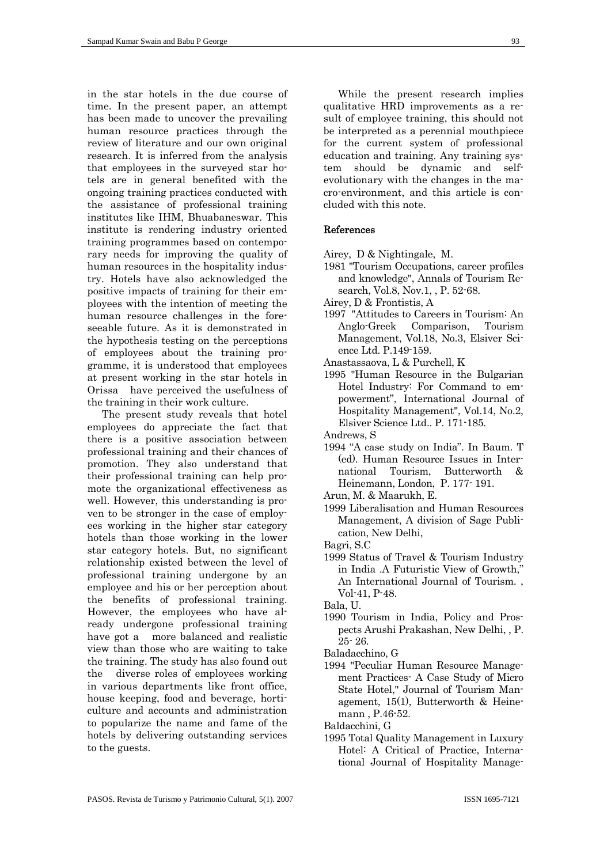in the star hotels in the due course of time. In the present paper, an attempt has been made to uncover the prevailing human resource practices through the review of literature and our own original research. It is inferred from the analysis that employees in the surveyed star hotels are in general benefited with the ongoing training practices conducted with the assistance of professional training institutes like IHM, Bhuabaneswar. This institute is rendering industry oriented training programmes based on contemporary needs for improving the quality of human resources in the hospitality industry. Hotels have also acknowledged the positive impacts of training for their employees with the intention of meeting the human resource challenges in the foreseeable future. As it is demonstrated in the hypothesis testing on the perceptions of employees about the training programme, it is understood that employees at present working in the star hotels in Orissa have perceived the usefulness of the training in their work culture.

The present study reveals that hotel employees do appreciate the fact that there is a positive association between professional training and their chances of promotion. They also understand that their professional training can help promote the organizational effectiveness as well. However, this understanding is proven to be stronger in the case of employees working in the higher star category hotels than those working in the lower star category hotels. But, no significant relationship existed between the level of professional training undergone by an employee and his or her perception about the benefits of professional training. However, the employees who have already undergone professional training have got a more balanced and realistic view than those who are waiting to take the training. The study has also found out the diverse roles of employees working in various departments like front office, house keeping, food and beverage, horticulture and accounts and administration to popularize the name and fame of the hotels by delivering outstanding services to the guests.

While the present research implies qualitative HRD improvements as a result of employee training, this should not be interpreted as a perennial mouthpiece for the current system of professional education and training. Any training system should be dynamic and selfevolutionary with the changes in the macro-environment, and this article is concluded with this note.

## References

- Airey, D & Nightingale, M.
- 1981 "Tourism Occupations, career profiles and knowledge", Annals of Tourism Research, Vol.8, Nov.1, , P. 52-68.
- Airey, D & Frontistis, A
- 1997 "Attitudes to Careers in Tourism: An Anglo-Greek Comparison, Tourism Management, Vol.18, No.3, Elsiver Science Ltd. P.149-159.
- Anastassaova, L & Purchell, K
- 1995 "Human Resource in the Bulgarian Hotel Industry: For Command to empowerment", International Journal of Hospitality Management", Vol.14, No.2, Elsiver Science Ltd.. P. 171-185.

Andrews, S

- 1994 "A case study on India". In Baum. T (ed). Human Resource Issues in International Tourism, Butterworth & Heinemann, London, P. 177- 191.
- Arun, M. & Maarukh, E.
- 1999 Liberalisation and Human Resources Management, A division of Sage Publication, New Delhi,
- Bagri, S.C
- 1999 Status of Travel & Tourism Industry in India .A Futuristic View of Growth," An International Journal of Tourism. , Vol-41, P-48.
- Bala, U.
- 1990 Tourism in India, Policy and Prospects Arushi Prakashan, New Delhi, , P. 25- 26.
- Baladacchino, G
- 1994 "Peculiar Human Resource Management Practices- A Case Study of Micro State Hotel," Journal of Tourism Management, 15(1), Butterworth & Heinemann , P.46-52.
- Baldacchini, G
- 1995 Total Quality Management in Luxury Hotel: A Critical of Practice, International Journal of Hospitality Manage-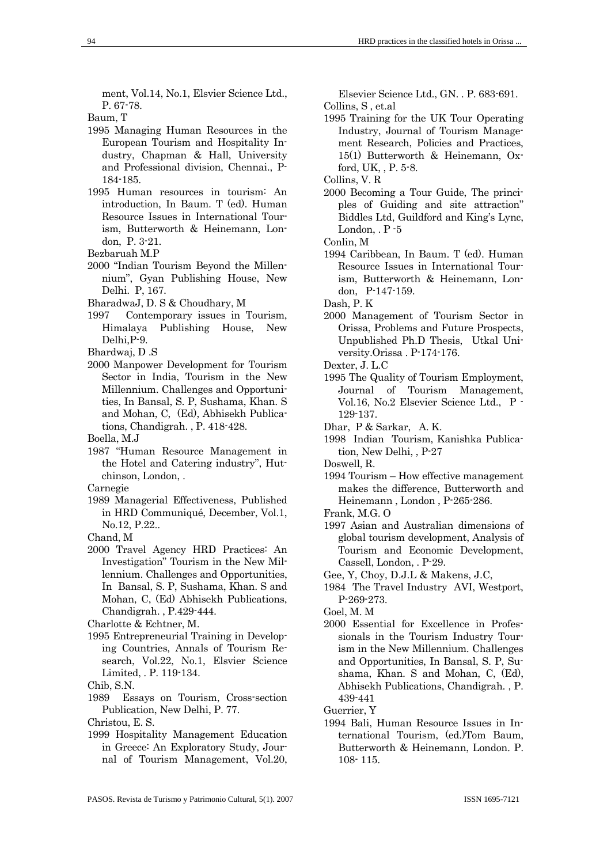ment, Vol.14, No.1, Elsvier Science Ltd., P. 67-78.

Baum, T

- 1995 Managing Human Resources in the European Tourism and Hospitality Industry, Chapman & Hall, University and Professional division, Chennai., P-184-185.
- 1995 Human resources in tourism: An introduction, In Baum. T (ed). Human Resource Issues in International Tourism, Butterworth & Heinemann, London, P. 3-21.
- Bezbaruah M.P
- 2000 "Indian Tourism Beyond the Millennium", Gyan Publishing House, New Delhi. P, 167.
- BharadwaJ, D. S & Choudhary, M
- 1997 Contemporary issues in Tourism, Himalaya Publishing House, New Delhi,P-9.
- Bhardwaj, D .S
- 2000 Manpower Development for Tourism Sector in India, Tourism in the New Millennium. Challenges and Opportunities, In Bansal, S. P, Sushama, Khan. S and Mohan, C, (Ed), Abhisekh Publications, Chandigrah. , P. 418-428.
- Boella, M.J
- 1987 "Human Resource Management in the Hotel and Catering industry", Hutchinson, London, .

Carnegie

- 1989 Managerial Effectiveness, Published in HRD Communiqué, December, Vol.1, No.12, P.22..
- Chand, M
- 2000 Travel Agency HRD Practices: An Investigation" Tourism in the New Millennium. Challenges and Opportunities, In Bansal, S. P, Sushama, Khan. S and Mohan, C, (Ed) Abhisekh Publications, Chandigrah. , P.429-444.
- Charlotte & Echtner, M.
- 1995 Entrepreneurial Training in Developing Countries, Annals of Tourism Research, Vol.22, No.1, Elsvier Science Limited, . P. 119-134.
- Chib, S.N.
- 1989 Essays on Tourism, Cross-section Publication, New Delhi, P. 77.
- Christou, E. S.
- 1999 Hospitality Management Education in Greece: An Exploratory Study, Journal of Tourism Management, Vol.20,

Elsevier Science Ltd., GN. . P. 683-691. Collins, S , et.al

- 1995 Training for the UK Tour Operating Industry, Journal of Tourism Management Research, Policies and Practices, 15(1) Butterworth & Heinemann, Oxford, UK, , P. 5-8.
- Collins, V. R
- 2000 Becoming a Tour Guide, The principles of Guiding and site attraction" Biddles Ltd, Guildford and King's Lync, London,  $P - 5$

Conlin, M

1994 Caribbean, In Baum. T (ed). Human Resource Issues in International Tourism, Butterworth & Heinemann, London, P-147-159.

Dash, P. K

- 2000 Management of Tourism Sector in Orissa, Problems and Future Prospects, Unpublished Ph.D Thesis, Utkal University.Orissa . P-174-176.
- Dexter, J. L.C
- 1995 The Quality of Tourism Employment, Journal of Tourism Management, Vol.16, No.2 Elsevier Science Ltd., P - 129-137.
- Dhar, P & Sarkar, A. K.
- 1998 Indian Tourism, Kanishka Publication, New Delhi, , P-27

Doswell, R.

- 1994 Tourism How effective management makes the difference, Butterworth and Heinemann , London , P-265-286.
- Frank, M.G. O
- 1997 Asian and Australian dimensions of global tourism development, Analysis of Tourism and Economic Development, Cassell, London, . P-29.
- Gee, Y, Choy, D.J.L & Makens, J.C,
- 1984 The Travel Industry AVI, Westport, P-269-273.
- Goel, M. M
- 2000 Essential for Excellence in Professionals in the Tourism Industry Tourism in the New Millennium. Challenges and Opportunities, In Bansal, S. P, Sushama, Khan. S and Mohan, C, (Ed), Abhisekh Publications, Chandigrah. , P. 439-441

Guerrier, Y

1994 Bali, Human Resource Issues in International Tourism, (ed.)Tom Baum, Butterworth & Heinemann, London. P. 108- 115.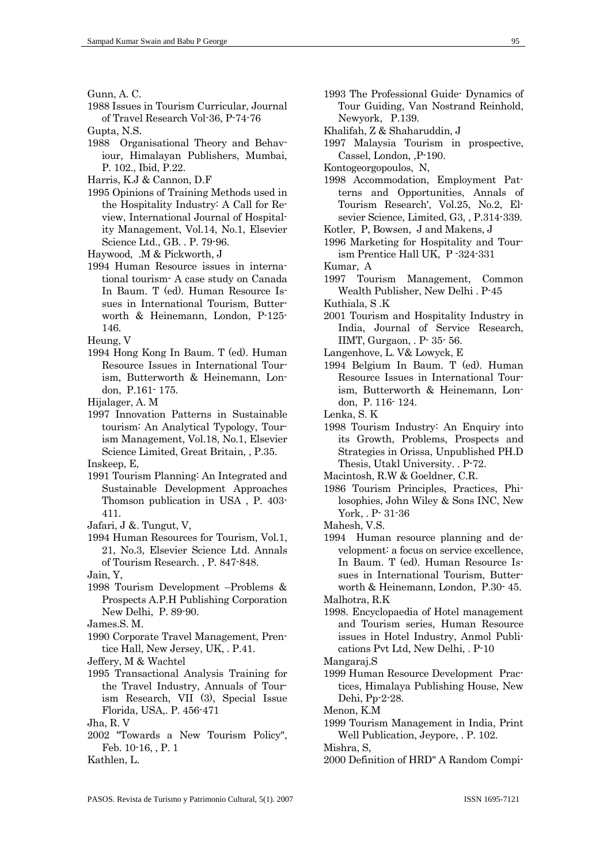Gunn, A. C.

- 1988 Issues in Tourism Curricular, Journal of Travel Research Vol-36, P-74-76
- Gupta, N.S.
- 1988 Organisational Theory and Behaviour, Himalayan Publishers, Mumbai, P. 102., Ibid, P.22.
- Harris, K.J & Cannon, D.F
- 1995 Opinions of Training Methods used in the Hospitality Industry: A Call for Review, International Journal of Hospitality Management, Vol.14, No.1, Elsevier Science Ltd., GB. . P. 79-96.
- Haywood, .M & Pickworth, J
- 1994 Human Resource issues in international tourism- A case study on Canada In Baum. T (ed). Human Resource Issues in International Tourism, Butterworth & Heinemann, London, P-125- 146.

Heung, V

- 1994 Hong Kong In Baum. T (ed). Human Resource Issues in International Tourism, Butterworth & Heinemann, London, P.161- 175.
- Hijalager, A. M
- 1997 Innovation Patterns in Sustainable tourism: An Analytical Typology, Tourism Management, Vol.18, No.1, Elsevier Science Limited, Great Britain, , P.35.

Inskeep, E,

- 1991 Tourism Planning: An Integrated and Sustainable Development Approaches Thomson publication in USA , P. 403- 411.
- Jafari, J &. Tungut, V,
- 1994 Human Resources for Tourism, Vol.1, 21, No.3, Elsevier Science Ltd. Annals of Tourism Research. , P. 847-848.
- Jain, Y,
- 1998 Tourism Development –Problems & Prospects A.P.H Publishing Corporation New Delhi, P. 89-90.
- James.S. M.
- 1990 Corporate Travel Management, Prentice Hall, New Jersey, UK, . P.41.
- Jeffery, M & Wachtel
- 1995 Transactional Analysis Training for the Travel Industry, Annuals of Tourism Research, VII (3), Special Issue Florida, USA,. P. 456-471
- Jha, R. V
- 2002 "Towards a New Tourism Policy", Feb. 10-16, , P. 1
- Kathlen, L.
- 1993 The Professional Guide- Dynamics of Tour Guiding, Van Nostrand Reinhold, Newyork, P.139.
- Khalifah, Z & Shaharuddin, J
- 1997 Malaysia Tourism in prospective, Cassel, London, ,P-190.
- Kontogeorgopoulos, N,
- 1998 Accommodation, Employment Patterns and Opportunities, Annals of Tourism Research', Vol.25, No.2, Elsevier Science, Limited, G3, , P.314-339.
- Kotler, P, Bowsen, J and Makens, J
- 1996 Marketing for Hospitality and Tourism Prentice Hall UK, P -324-331
- Kumar, A
- 1997 Tourism Management, Common Wealth Publisher, New Delhi . P-45
- Kuthiala, S .K
- 2001 Tourism and Hospitality Industry in India, Journal of Service Research, IIMT, Gurgaon, . P- 35- 56.
- Langenhove, L. V& Lowyck, E
- 1994 Belgium In Baum. T (ed). Human Resource Issues in International Tourism, Butterworth & Heinemann, London, P. 116- 124.
- Lenka, S. K
- 1998 Tourism Industry: An Enquiry into its Growth, Problems, Prospects and Strategies in Orissa, Unpublished PH.D Thesis, Utakl University. . P-72.
- Macintosh, R.W & Goeldner, C.R.
- 1986 Tourism Principles, Practices, Philosophies, John Wiley & Sons INC, New York, . P- 31-36
- Mahesh, V.S.
- 1994 Human resource planning and development: a focus on service excellence, In Baum. T (ed). Human Resource Issues in International Tourism, Butterworth & Heinemann, London, P.30- 45. Malhotra, R.K
- 1998. Encyclopaedia of Hotel management
- and Tourism series, Human Resource issues in Hotel Industry, Anmol Publications Pvt Ltd, New Delhi, . P-10
- Mangaraj.S
- 1999 Human Resource Development Practices, Himalaya Publishing House, New Dehi, Pp-2-28.
- Menon, K.M
- 1999 Tourism Management in India, Print Well Publication, Jeypore, . P. 102.

Mishra, S,

2000 Definition of HRD" A Random Compi-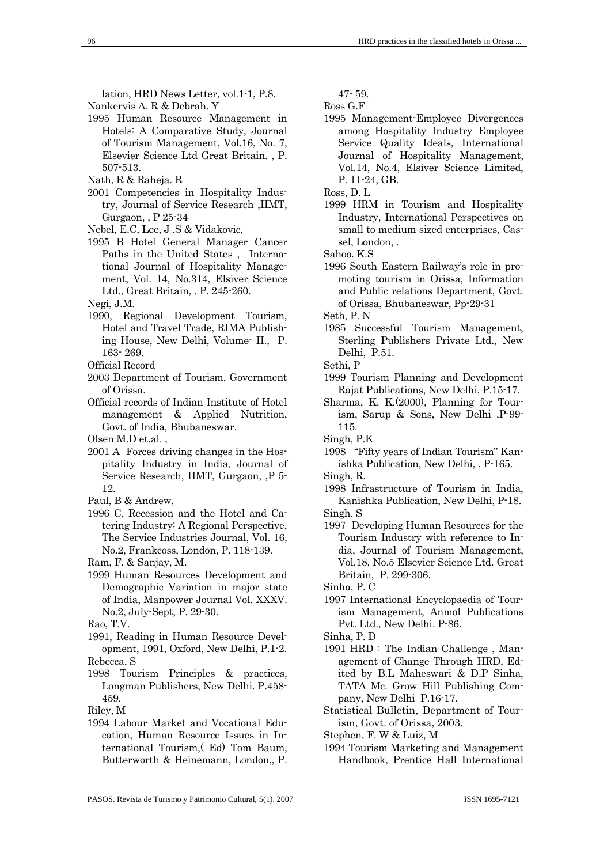lation, HRD News Letter, vol.1-1, P.8.

- Nankervis A. R & Debrah. Y
- 1995 Human Resource Management in Hotels: A Comparative Study, Journal of Tourism Management, Vol.16, No. 7, Elsevier Science Ltd Great Britain. , P. 507-513.
- Nath, R & Raheja. R
- 2001 Competencies in Hospitality Industry, Journal of Service Research ,IIMT, Gurgaon, , P 25-34
- Nebel, E.C, Lee, J .S & Vidakovic,
- 1995 B Hotel General Manager Cancer Paths in the United States , International Journal of Hospitality Management, Vol. 14, No.314, Elsiver Science Ltd., Great Britain, . P. 245-260.
- Negi, J.M.
- 1990, Regional Development Tourism, Hotel and Travel Trade, RIMA Publishing House, New Delhi, Volume- II., P. 163- 269.
- Official Record
- 2003 Department of Tourism, Government of Orissa.
- Official records of Indian Institute of Hotel management & Applied Nutrition, Govt. of India, Bhubaneswar.

Olsen M.D et.al. ,

- 2001 A Forces driving changes in the Hospitality Industry in India, Journal of Service Research, IIMT, Gurgaon, ,P 5- 12.
- Paul, B & Andrew,
- 1996 C, Recession and the Hotel and Catering Industry: A Regional Perspective, The Service Industries Journal, Vol. 16, No.2, Frankcoss, London, P. 118-139.
- Ram, F. & Sanjay, M.
- 1999 Human Resources Development and Demographic Variation in major state of India, Manpower Journal Vol. XXXV. No.2, July-Sept, P. 29-30.

- 1991, Reading in Human Resource Development, 1991, Oxford, New Delhi, P.1-2.
- Rebecca, S 1998 Tourism Principles & practices,
- Longman Publishers, New Delhi. P.458- 459.
- Riley, M
- 1994 Labour Market and Vocational Education, Human Resource Issues in International Tourism,( Ed) Tom Baum, Butterworth & Heinemann, London,, P.

47- 59.

Ross G.F

- 1995 Management-Employee Divergences among Hospitality Industry Employee Service Quality Ideals, International Journal of Hospitality Management, Vol.14, No.4, Elsiver Science Limited, P. 11-24, GB.
- Ross, D. L
- 1999 HRM in Tourism and Hospitality Industry, International Perspectives on small to medium sized enterprises, Cassel, London, .

Sahoo. K.S

- 1996 South Eastern Railway's role in promoting tourism in Orissa, Information and Public relations Department, Govt. of Orissa, Bhubaneswar, Pp-29-31
- Seth, P. N
- 1985 Successful Tourism Management, Sterling Publishers Private Ltd., New Delhi, P.51.
- Sethi, P
- 1999 Tourism Planning and Development Rajat Publications, New Delhi, P.15-17.
- Sharma, K. K.(2000), Planning for Tourism, Sarup & Sons, New Delhi ,P-99- 115.
- Singh, P.K
- 1998 "Fifty years of Indian Tourism" Kanishka Publication, New Delhi, . P-165.
- Singh, R.
- 1998 Infrastructure of Tourism in India, Kanishka Publication, New Delhi, P-18. Singh. S
- 1997 Developing Human Resources for the Tourism Industry with reference to India, Journal of Tourism Management, Vol.18, No.5 Elsevier Science Ltd. Great Britain, P. 299-306.
- Sinha, P. C
- 1997 International Encyclopaedia of Tourism Management, Anmol Publications Pvt. Ltd., New Delhi. P-86.
- Sinha, P. D
- 1991 HRD : The Indian Challenge , Management of Change Through HRD, Edited by B.L Maheswari & D.P Sinha, TATA Mc. Grow Hill Publishing Company, New Delhi P.16-17.
- Statistical Bulletin, Department of Tourism, Govt. of Orissa, 2003.
- Stephen, F. W & Luiz, M
- 1994 Tourism Marketing and Management Handbook, Prentice Hall International

Rao, T.V.